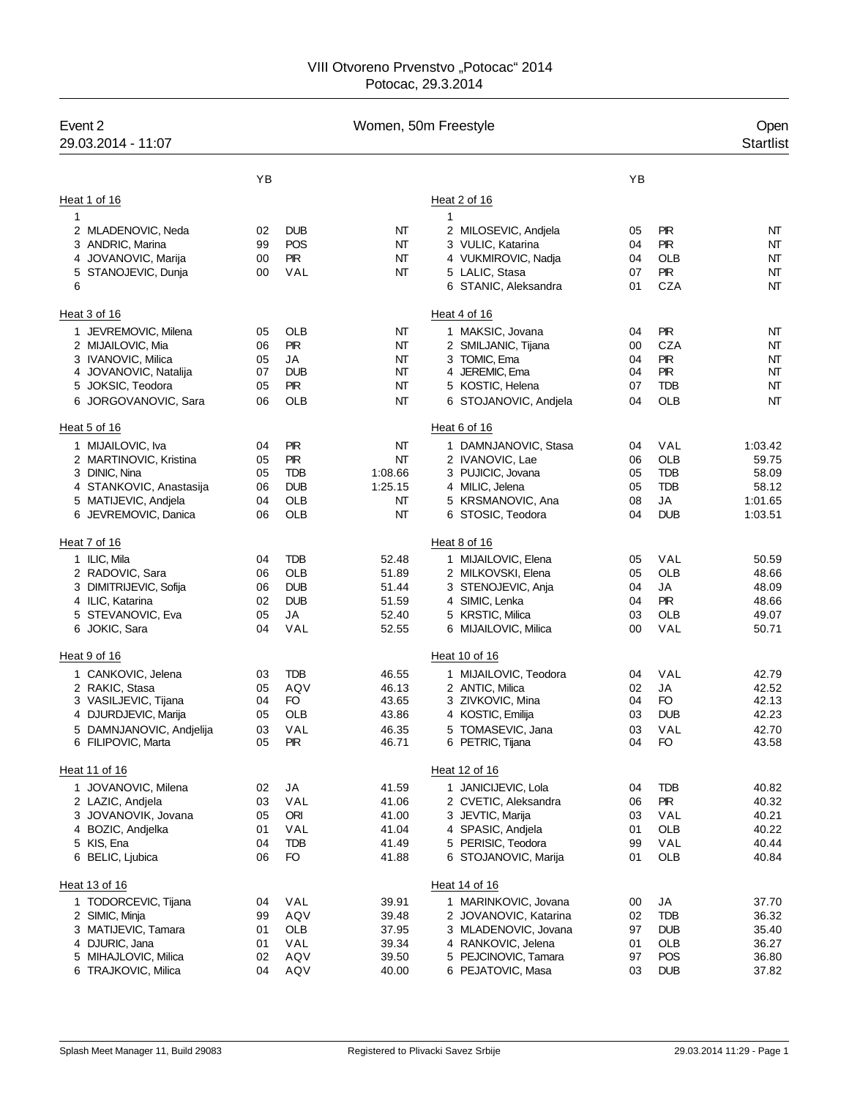## VIII Otvoreno Prvenstvo "Potocac" 2014 Potocac, 29.3.2014

| Event 2<br>29.03.2014 - 11:07                |          | Women, 50m Freestyle |                |                                             |          |                   |                |  |
|----------------------------------------------|----------|----------------------|----------------|---------------------------------------------|----------|-------------------|----------------|--|
|                                              | YB       |                      |                |                                             | YB       |                   |                |  |
| Heat 1 of 16                                 |          |                      |                | Heat 2 of 16                                |          |                   |                |  |
| 1                                            |          |                      |                | 1                                           |          |                   |                |  |
| 2 MLADENOVIC, Neda                           | 02       | <b>DUB</b>           | NT             | 2 MILOSEVIC, Andjela                        | 05       | <b>PIR</b>        | NT             |  |
| 3 ANDRIC, Marina                             | 99       | POS                  | NT             | 3 VULIC, Katarina                           | 04       | PR                | NT             |  |
| 4 JOVANOVIC, Marija                          | 00       | <b>PIR</b>           | NT             | 4 VUKMIROVIC, Nadja                         | 04       | OLB               | NT             |  |
| 5 STANOJEVIC, Dunja                          | 00       | VAL                  | NT             | 5 LALIC, Stasa                              | 07       | <b>PIR</b>        | NT             |  |
| 6                                            |          |                      |                | 6 STANIC, Aleksandra                        | 01       | CZA               | NT             |  |
| Heat 3 of 16                                 |          |                      |                | Heat 4 of 16                                |          |                   |                |  |
| 1 JEVREMOVIC, Milena                         | 05       | <b>OLB</b>           | NT             | 1 MAKSIC, Jovana                            | 04       | <b>PIR</b>        | NT             |  |
| 2 MIJAILOVIC, Mia                            | 06       | <b>PIR</b>           | NT             | 2 SMILJANIC, Tijana                         | 00       | CZA               | NT             |  |
| 3 IVANOVIC, Milica                           | 05       | JA                   | NT             | 3 TOMIC, Ema                                | 04       | <b>PIR</b>        | NT             |  |
| 4 JOVANOVIC, Natalija                        | 07       | <b>DUB</b>           | NT             | 4 JEREMIC, Ema                              | 04       | PIR               | NT             |  |
| 5 JOKSIC, Teodora                            | 05       | <b>PR</b>            | NT             | 5 KOSTIC, Helena                            | 07       | <b>TDB</b>        | NT             |  |
| 6 JORGOVANOVIC, Sara                         | 06       | OLB                  | NT             | 6 STOJANOVIC, Andjela                       | 04       | OLB               | NT             |  |
| Heat 5 of 16                                 |          |                      |                | Heat 6 of 16                                |          |                   |                |  |
| 1 MIJAILOVIC, Iva                            | 04       | <b>PIR</b>           | NT             | 1 DAMNJANOVIC, Stasa                        | 04       | VAL               | 1:03.42        |  |
| 2 MARTINOVIC, Kristina                       | 05       | <b>PIR</b>           | NT             | 2 IVANOVIC, Lae                             | 06       | <b>OLB</b>        | 59.75          |  |
| 3 DINIC, Nina                                | 05       | <b>TDB</b>           | 1:08.66        | 3 PUJICIC, Jovana                           | 05       | <b>TDB</b>        | 58.09          |  |
| 4 STANKOVIC, Anastasija                      | 06       | <b>DUB</b>           | 1:25.15        | 4 MILIC, Jelena                             | 05       | <b>TDB</b>        | 58.12          |  |
| 5 MATIJEVIC, Andjela                         | 04       | <b>OLB</b>           | NT             | 5 KRSMANOVIC, Ana                           | 08       | JA                | 1:01.65        |  |
| 6 JEVREMOVIC, Danica                         | 06       | <b>OLB</b>           | NΤ             | 6 STOSIC, Teodora                           | 04       | <b>DUB</b>        | 1:03.51        |  |
| Heat 7 of 16                                 |          |                      |                | Heat 8 of 16                                |          |                   |                |  |
| 1 ILIC, Mila                                 | 04       | TDB                  | 52.48          | 1 MIJAILOVIC, Elena                         | 05       | VAL               | 50.59          |  |
| 2 RADOVIC, Sara                              | 06       | <b>OLB</b>           | 51.89          | 2 MILKOVSKI, Elena                          | 05       | OLB               | 48.66          |  |
| 3 DIMITRIJEVIC, Sofija                       | 06       | <b>DUB</b>           | 51.44          | 3 STENOJEVIC, Anja                          | 04       | JA                | 48.09          |  |
| 4 ILIC, Katarina                             | 02       | <b>DUB</b>           | 51.59          | 4 SIMIC, Lenka                              | 04       | PR                | 48.66          |  |
| 5 STEVANOVIC, Eva                            | 05<br>04 | JA<br>VAL            | 52.40<br>52.55 | 5 KRSTIC, Milica<br>6 MIJAILOVIC, Milica    | 03<br>00 | OLB<br>VAL        | 49.07<br>50.71 |  |
| 6 JOKIC, Sara                                |          |                      |                |                                             |          |                   |                |  |
| Heat 9 of 16                                 |          |                      |                | Heat 10 of 16                               |          |                   |                |  |
| 1 CANKOVIC, Jelena                           | 03       | <b>TDB</b>           | 46.55          | 1 MIJAILOVIC, Teodora                       | 04       | VAL               | 42.79          |  |
| 2 RAKIC, Stasa                               | 05       | AQV                  | 46.13          | 2 ANTIC, Milica                             | 02       | JA                | 42.52          |  |
| 3 VASILJEVIC, Tijana<br>4 DJURDJEVIC, Marija | 04<br>05 | FO.<br>OLB           | 43.65<br>43.86 | 3 ZIVKOVIC, Mina<br>4 KOSTIC, Emilija       | 04<br>03 | FO<br><b>DUB</b>  | 42.13<br>42.23 |  |
| 5 DAMNJANOVIC, Andjelija                     | 03       | VAL                  | 46.35          | 5 TOMASEVIC, Jana                           | 03       | VAL               | 42.70          |  |
| 6 FILIPOVIC, Marta                           | 05       | PR                   | 46.71          | 6 PETRIC, Tijana                            | 04       | FO                | 43.58          |  |
| Heat 11 of 16                                |          |                      |                | Heat 12 of 16                               |          |                   |                |  |
|                                              |          |                      |                |                                             |          |                   |                |  |
| 1 JOVANOVIC, Milena<br>2 LAZIC, Andjela      | 02<br>03 | JA<br>VAL            | 41.59<br>41.06 | 1 JANICIJEVIC, Lola<br>2 CVETIC, Aleksandra | 04<br>06 | <b>TDB</b><br>PIR | 40.82<br>40.32 |  |
| 3 JOVANOVIK, Jovana                          | 05       | ORI                  | 41.00          | 3 JEVTIC, Marija                            | 03       | VAL               | 40.21          |  |
| 4 BOZIC, Andjelka                            | 01       | VAL                  | 41.04          | 4 SPASIC, Andjela                           | 01       | <b>OLB</b>        | 40.22          |  |
| 5 KIS, Ena                                   | 04       | <b>TDB</b>           | 41.49          | 5 PERISIC, Teodora                          | 99       | VAL               | 40.44          |  |
| 6 BELIC, Ljubica                             | 06       | <b>FO</b>            | 41.88          | 6 STOJANOVIC, Marija                        | 01       | <b>OLB</b>        | 40.84          |  |
| Heat 13 of 16                                |          |                      |                | Heat 14 of 16                               |          |                   |                |  |
| 1 TODORCEVIC, Tijana                         | 04       | VAL                  | 39.91          | 1 MARINKOVIC, Jovana                        | 00       | JA                | 37.70          |  |
| 2 SIMIC, Minja                               | 99       | AQV                  | 39.48          | 2 JOVANOVIC, Katarina                       | 02       | <b>TDB</b>        | 36.32          |  |
| 3 MATIJEVIC, Tamara                          | 01       | <b>OLB</b>           | 37.95          | 3 MLADENOVIC, Jovana                        | 97       | <b>DUB</b>        | 35.40          |  |
| 4 DJURIC, Jana                               | 01       | VAL                  | 39.34          | 4 RANKOVIC, Jelena                          | 01       | <b>OLB</b>        | 36.27          |  |
| 5 MIHAJLOVIC, Milica                         | 02       | AQV                  | 39.50          | 5 PEJCINOVIC, Tamara                        | 97       | <b>POS</b>        | 36.80          |  |
| 6 TRAJKOVIC, Milica                          | 04       | AQV                  | 40.00          | 6 PEJATOVIC, Masa                           | 03       | <b>DUB</b>        | 37.82          |  |